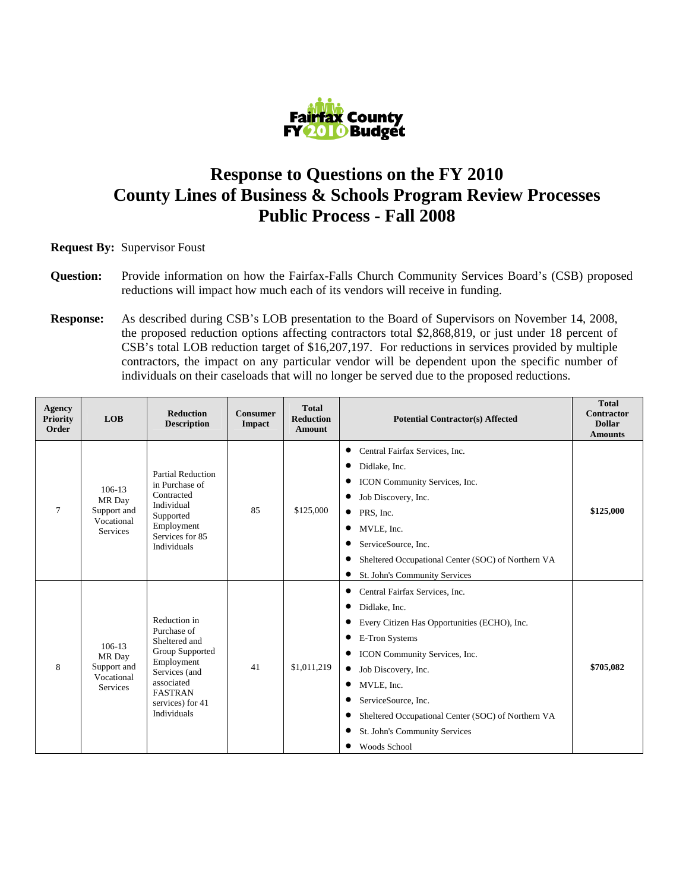

## **Response to Questions on the FY 2010 County Lines of Business & Schools Program Review Processes Public Process - Fall 2008**

**Request By:** Supervisor Foust

- **Question:** Provide information on how the Fairfax-Falls Church Community Services Board's (CSB) proposed reductions will impact how much each of its vendors will receive in funding.
- **Response:** As described during CSB's LOB presentation to the Board of Supervisors on November 14, 2008, the proposed reduction options affecting contractors total \$2,868,819, or just under 18 percent of CSB's total LOB reduction target of \$16,207,197. For reductions in services provided by multiple contractors, the impact on any particular vendor will be dependent upon the specific number of individuals on their caseloads that will no longer be served due to the proposed reductions.

| <b>Agency</b><br><b>Priority</b><br>Order | <b>LOB</b>                                                           | <b>Reduction</b><br><b>Description</b>                                                                                                                                   | Consumer<br>Impact | <b>Total</b><br><b>Reduction</b><br><b>Amount</b> | <b>Potential Contractor(s) Affected</b>                                                                                                                                                                                                                                                                                                                                                                 | <b>Total</b><br><b>Contractor</b><br><b>Dollar</b><br><b>Amounts</b> |
|-------------------------------------------|----------------------------------------------------------------------|--------------------------------------------------------------------------------------------------------------------------------------------------------------------------|--------------------|---------------------------------------------------|---------------------------------------------------------------------------------------------------------------------------------------------------------------------------------------------------------------------------------------------------------------------------------------------------------------------------------------------------------------------------------------------------------|----------------------------------------------------------------------|
| $\tau$                                    | $106 - 13$<br>MR Day<br>Support and<br>Vocational<br><b>Services</b> | Partial Reduction<br>in Purchase of<br>Contracted<br>Individual<br>Supported<br>Employment<br>Services for 85<br>Individuals                                             | 85                 | \$125,000                                         | Central Fairfax Services, Inc.<br>$\bullet$<br>٠<br>Didlake, Inc.<br>ICON Community Services, Inc.<br>Job Discovery, Inc.<br>٠<br>PRS, Inc.<br>$\bullet$<br>MVLE, Inc.<br>٠<br>ServiceSource, Inc.<br>Sheltered Occupational Center (SOC) of Northern VA<br>$\bullet$<br>St. John's Community Services<br>$\bullet$                                                                                     | \$125,000                                                            |
| 8                                         | $106 - 13$<br>MR Day<br>Support and<br>Vocational<br><b>Services</b> | Reduction in<br>Purchase of<br>Sheltered and<br>Group Supported<br>Employment<br>Services (and<br>associated<br><b>FASTRAN</b><br>services) for 41<br><b>Individuals</b> | 41                 | \$1,011,219                                       | Central Fairfax Services, Inc.<br>$\bullet$<br>Didlake, Inc.<br>$\bullet$<br>Every Citizen Has Opportunities (ECHO), Inc.<br>٠<br>E-Tron Systems<br>ICON Community Services, Inc.<br>$\bullet$<br>Job Discovery, Inc.<br>$\bullet$<br>MVLE, Inc.<br>٠<br>ServiceSource, Inc.<br>Sheltered Occupational Center (SOC) of Northern VA<br>$\bullet$<br>St. John's Community Services<br><b>Woods School</b> | \$705,082                                                            |